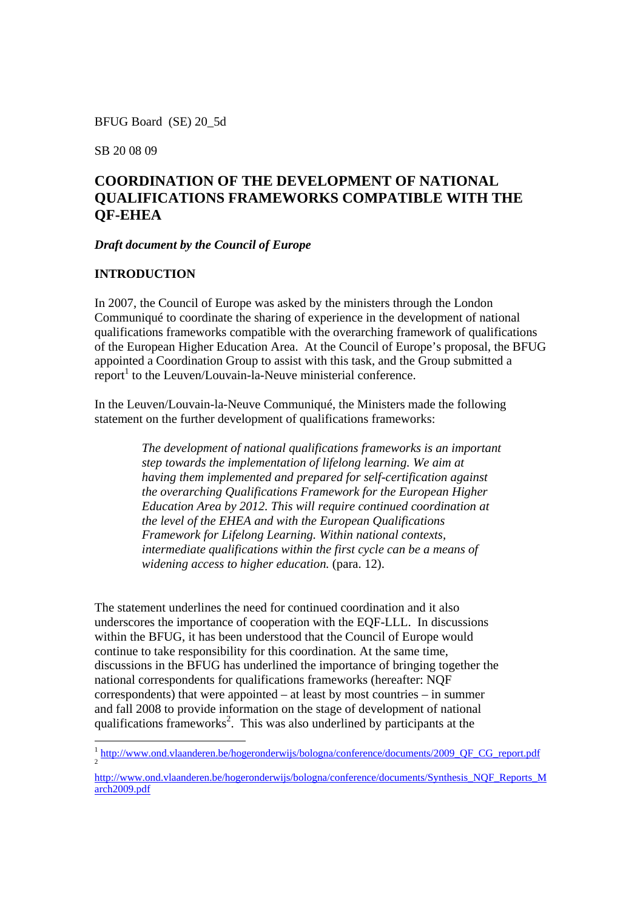BFUG Board (SE) 20\_5d

SB 20 08 09

# **COORDINATION OF THE DEVELOPMENT OF NATIONAL QUALIFICATIONS FRAMEWORKS COMPATIBLE WITH THE QF-EHEA**

#### *Draft document by the Council of Europe*

#### **INTRODUCTION**

In 2007, the Council of Europe was asked by the ministers through the London Communiqué to coordinate the sharing of experience in the development of national qualifications frameworks compatible with the overarching framework of qualifications of the European Higher Education Area. At the Council of Europe's proposal, the BFUG appointed a Coordination Group to assist with this task, and the Group submitted a  $\text{report}^1$  to the Leuven/Louvain-la-Neuve ministerial conference.

In the Leuven/Louvain-la-Neuve Communiqué, the Ministers made the following statement on the further development of qualifications frameworks:

> *The development of national qualifications frameworks is an important step towards the implementation of lifelong learning. We aim at having them implemented and prepared for self-certification against the overarching Qualifications Framework for the European Higher Education Area by 2012. This will require continued coordination at the level of the EHEA and with the European Qualifications Framework for Lifelong Learning. Within national contexts, intermediate qualifications within the first cycle can be a means of widening access to higher education.* (para. 12).

The statement underlines the need for continued coordination and it also underscores the importance of cooperation with the EQF-LLL. In discussions within the BFUG, it has been understood that the Council of Europe would continue to take responsibility for this coordination. At the same time, discussions in the BFUG has underlined the importance of bringing together the national correspondents for qualifications frameworks (hereafter: NQF correspondents) that were appointed – at least by most countries – in summer and fall 2008 to provide information on the stage of development of national qualifications frameworks<sup>2</sup>. This was also underlined by participants at the

<sup>&</sup>lt;sup>1</sup> http://www.ond.vlaanderen.be/hogeronderwijs/bologna/conference/documents/2009\_QF\_CG\_report.pdf

http://www.ond.vlaanderen.be/hogeronderwijs/bologna/conference/documents/Synthesis\_NQF\_Reports\_M arch2009.pdf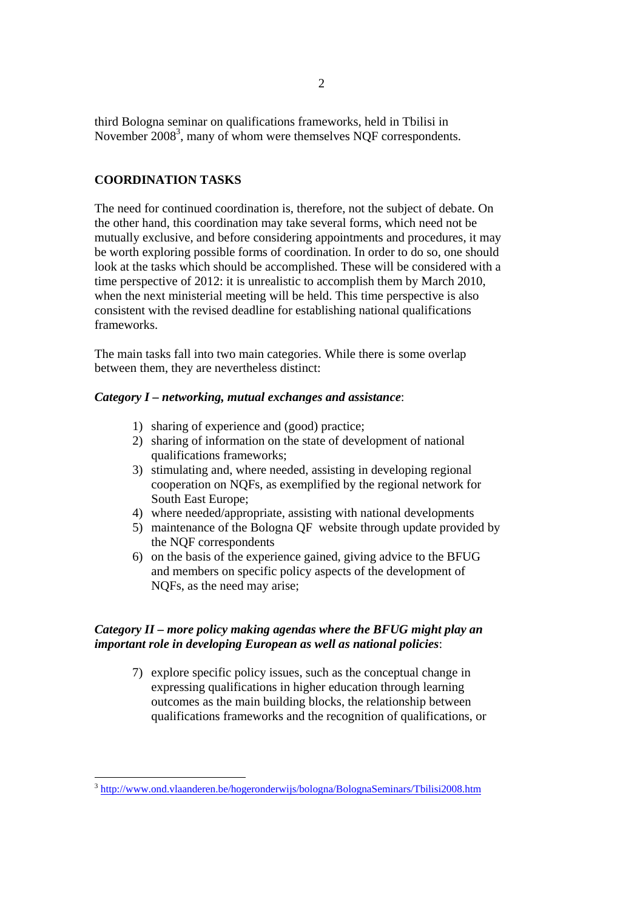third Bologna seminar on qualifications frameworks, held in Tbilisi in November 2008<sup>3</sup>, many of whom were themselves NQF correspondents.

# **COORDINATION TASKS**

The need for continued coordination is, therefore, not the subject of debate. On the other hand, this coordination may take several forms, which need not be mutually exclusive, and before considering appointments and procedures, it may be worth exploring possible forms of coordination. In order to do so, one should look at the tasks which should be accomplished. These will be considered with a time perspective of 2012: it is unrealistic to accomplish them by March 2010, when the next ministerial meeting will be held. This time perspective is also consistent with the revised deadline for establishing national qualifications frameworks.

The main tasks fall into two main categories. While there is some overlap between them, they are nevertheless distinct:

### *Category I – networking, mutual exchanges and assistance*:

- 1) sharing of experience and (good) practice;
- 2) sharing of information on the state of development of national qualifications frameworks;
- 3) stimulating and, where needed, assisting in developing regional cooperation on NQFs, as exemplified by the regional network for South East Europe;
- 4) where needed/appropriate, assisting with national developments
- 5) maintenance of the Bologna QF website through update provided by the NQF correspondents
- 6) on the basis of the experience gained, giving advice to the BFUG and members on specific policy aspects of the development of NQFs, as the need may arise;

# *Category II – more policy making agendas where the BFUG might play an important role in developing European as well as national policies*:

7) explore specific policy issues, such as the conceptual change in expressing qualifications in higher education through learning outcomes as the main building blocks, the relationship between qualifications frameworks and the recognition of qualifications, or

 $\overline{a}$ <sup>3</sup> http://www.ond.vlaanderen.be/hogeronderwijs/bologna/BolognaSeminars/Tbilisi2008.htm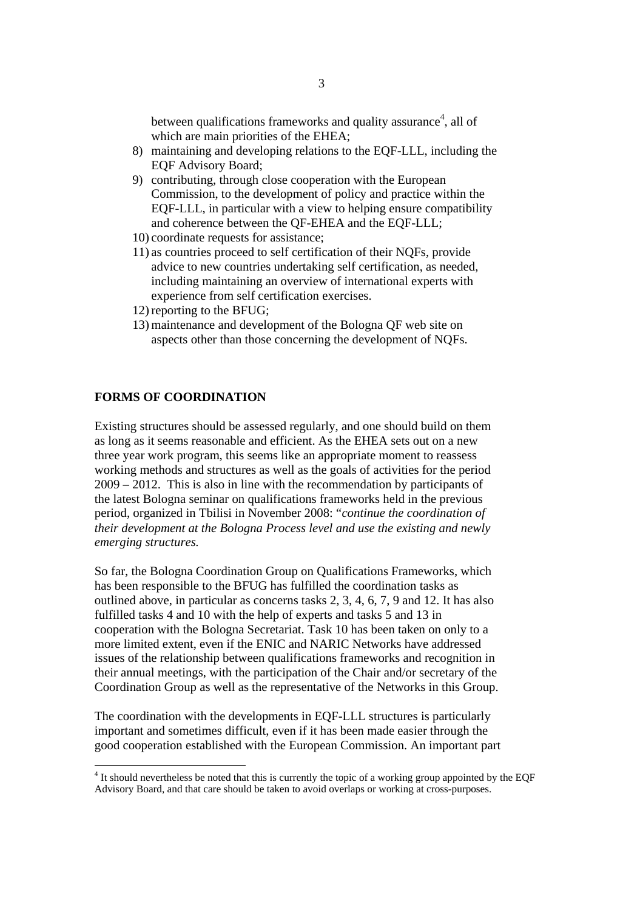between qualifications frameworks and quality assurance<sup>4</sup>, all of which are main priorities of the EHEA;

- 8) maintaining and developing relations to the EQF-LLL, including the EQF Advisory Board;
- 9) contributing, through close cooperation with the European Commission, to the development of policy and practice within the EQF-LLL, in particular with a view to helping ensure compatibility and coherence between the QF-EHEA and the EQF-LLL;
- 10) coordinate requests for assistance;
- 11) as countries proceed to self certification of their NQFs, provide advice to new countries undertaking self certification, as needed, including maintaining an overview of international experts with experience from self certification exercises.
- 12) reporting to the BFUG;
- 13) maintenance and development of the Bologna QF web site on aspects other than those concerning the development of NQFs.

#### **FORMS OF COORDINATION**

Existing structures should be assessed regularly, and one should build on them as long as it seems reasonable and efficient. As the EHEA sets out on a new three year work program, this seems like an appropriate moment to reassess working methods and structures as well as the goals of activities for the period 2009 – 2012. This is also in line with the recommendation by participants of the latest Bologna seminar on qualifications frameworks held in the previous period, organized in Tbilisi in November 2008: "*continue the coordination of their development at the Bologna Process level and use the existing and newly emerging structures.* 

So far, the Bologna Coordination Group on Qualifications Frameworks, which has been responsible to the BFUG has fulfilled the coordination tasks as outlined above, in particular as concerns tasks 2, 3, 4, 6, 7, 9 and 12. It has also fulfilled tasks 4 and 10 with the help of experts and tasks 5 and 13 in cooperation with the Bologna Secretariat. Task 10 has been taken on only to a more limited extent, even if the ENIC and NARIC Networks have addressed issues of the relationship between qualifications frameworks and recognition in their annual meetings, with the participation of the Chair and/or secretary of the Coordination Group as well as the representative of the Networks in this Group.

The coordination with the developments in EQF-LLL structures is particularly important and sometimes difficult, even if it has been made easier through the good cooperation established with the European Commission. An important part

<sup>&</sup>lt;sup>4</sup> It should nevertheless be noted that this is currently the topic of a working group appointed by the EQF Advisory Board, and that care should be taken to avoid overlaps or working at cross-purposes.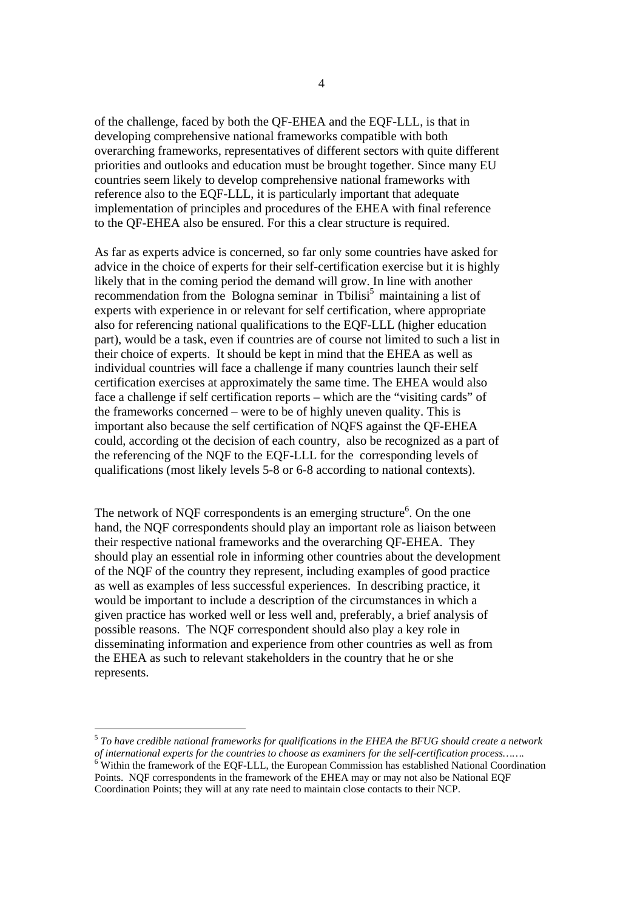of the challenge, faced by both the QF-EHEA and the EQF-LLL, is that in developing comprehensive national frameworks compatible with both overarching frameworks, representatives of different sectors with quite different priorities and outlooks and education must be brought together. Since many EU countries seem likely to develop comprehensive national frameworks with reference also to the EQF-LLL, it is particularly important that adequate implementation of principles and procedures of the EHEA with final reference to the QF-EHEA also be ensured. For this a clear structure is required.

As far as experts advice is concerned, so far only some countries have asked for advice in the choice of experts for their self-certification exercise but it is highly likely that in the coming period the demand will grow. In line with another recommendation from the Bologna seminar in Tbilisi<sup>5</sup> maintaining a list of experts with experience in or relevant for self certification, where appropriate also for referencing national qualifications to the EQF-LLL (higher education part), would be a task, even if countries are of course not limited to such a list in their choice of experts. It should be kept in mind that the EHEA as well as individual countries will face a challenge if many countries launch their self certification exercises at approximately the same time. The EHEA would also face a challenge if self certification reports – which are the "visiting cards" of the frameworks concerned – were to be of highly uneven quality. This is important also because the self certification of NQFS against the QF-EHEA could, according ot the decision of each country, also be recognized as a part of the referencing of the NQF to the EQF-LLL for the corresponding levels of qualifications (most likely levels 5-8 or 6-8 according to national contexts).

The network of NQF correspondents is an emerging structure<sup>6</sup>. On the one hand, the NQF correspondents should play an important role as liaison between their respective national frameworks and the overarching QF-EHEA. They should play an essential role in informing other countries about the development of the NQF of the country they represent, including examples of good practice as well as examples of less successful experiences. In describing practice, it would be important to include a description of the circumstances in which a given practice has worked well or less well and, preferably, a brief analysis of possible reasons. The NQF correspondent should also play a key role in disseminating information and experience from other countries as well as from the EHEA as such to relevant stakeholders in the country that he or she represents.

<sup>5</sup> *To have credible national frameworks for qualifications in the EHEA the BFUG should create a network of international experts for the countries to choose as examiners for the self-certification process…….*  $6$  Within the framework of the EQF-LLL, the European Commission has established National Coordination Points. NQF correspondents in the framework of the EHEA may or may not also be National EQF Coordination Points; they will at any rate need to maintain close contacts to their NCP.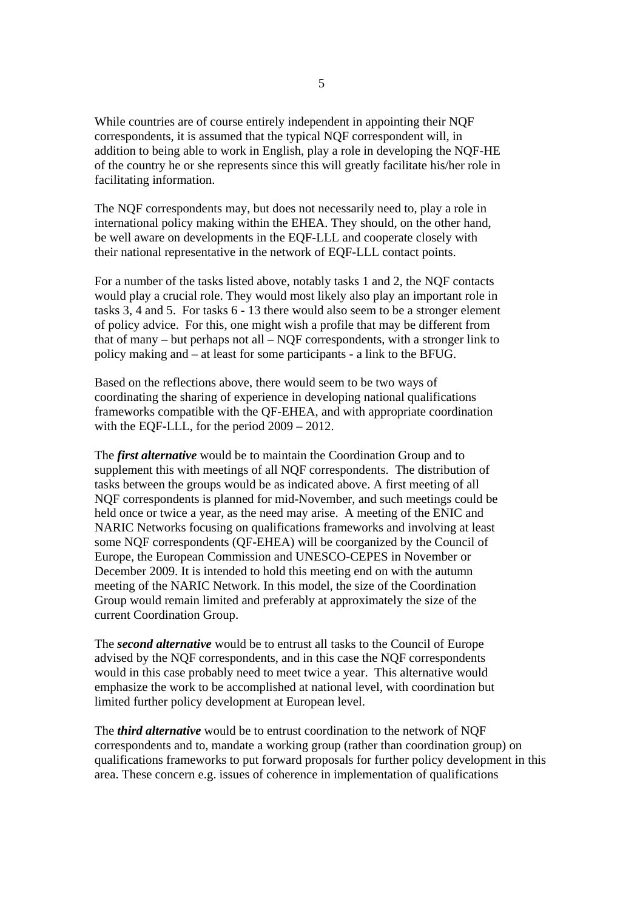While countries are of course entirely independent in appointing their NQF correspondents, it is assumed that the typical NQF correspondent will, in addition to being able to work in English, play a role in developing the NQF-HE of the country he or she represents since this will greatly facilitate his/her role in facilitating information.

The NQF correspondents may, but does not necessarily need to, play a role in international policy making within the EHEA. They should, on the other hand, be well aware on developments in the EQF-LLL and cooperate closely with their national representative in the network of EQF-LLL contact points.

For a number of the tasks listed above, notably tasks 1 and 2, the NQF contacts would play a crucial role. They would most likely also play an important role in tasks 3, 4 and 5. For tasks 6 - 13 there would also seem to be a stronger element of policy advice. For this, one might wish a profile that may be different from that of many – but perhaps not all – NQF correspondents, with a stronger link to policy making and – at least for some participants - a link to the BFUG.

Based on the reflections above, there would seem to be two ways of coordinating the sharing of experience in developing national qualifications frameworks compatible with the QF-EHEA, and with appropriate coordination with the EQF-LLL, for the period 2009 – 2012.

The *first alternative* would be to maintain the Coordination Group and to supplement this with meetings of all NQF correspondents. The distribution of tasks between the groups would be as indicated above. A first meeting of all NQF correspondents is planned for mid-November, and such meetings could be held once or twice a year, as the need may arise. A meeting of the ENIC and NARIC Networks focusing on qualifications frameworks and involving at least some NQF correspondents (QF-EHEA) will be coorganized by the Council of Europe, the European Commission and UNESCO-CEPES in November or December 2009. It is intended to hold this meeting end on with the autumn meeting of the NARIC Network. In this model, the size of the Coordination Group would remain limited and preferably at approximately the size of the current Coordination Group.

The *second alternative* would be to entrust all tasks to the Council of Europe advised by the NQF correspondents, and in this case the NQF correspondents would in this case probably need to meet twice a year. This alternative would emphasize the work to be accomplished at national level, with coordination but limited further policy development at European level.

The *third alternative* would be to entrust coordination to the network of NQF correspondents and to, mandate a working group (rather than coordination group) on qualifications frameworks to put forward proposals for further policy development in this area. These concern e.g. issues of coherence in implementation of qualifications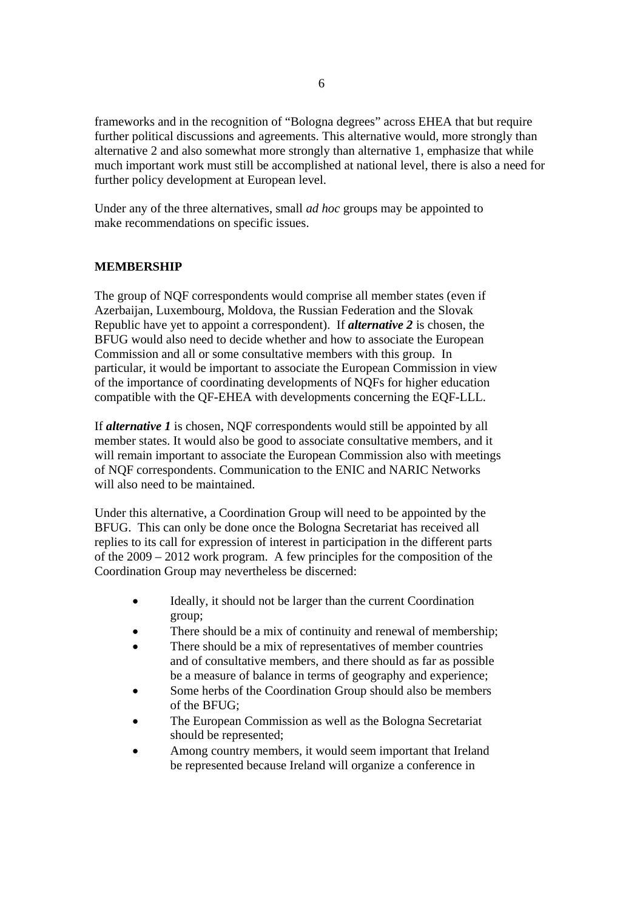frameworks and in the recognition of "Bologna degrees" across EHEA that but require further political discussions and agreements. This alternative would, more strongly than alternative 2 and also somewhat more strongly than alternative 1, emphasize that while much important work must still be accomplished at national level, there is also a need for further policy development at European level.

Under any of the three alternatives, small *ad hoc* groups may be appointed to make recommendations on specific issues.

#### **MEMBERSHIP**

The group of NQF correspondents would comprise all member states (even if Azerbaijan, Luxembourg, Moldova, the Russian Federation and the Slovak Republic have yet to appoint a correspondent). If *alternative 2* is chosen, the BFUG would also need to decide whether and how to associate the European Commission and all or some consultative members with this group. In particular, it would be important to associate the European Commission in view of the importance of coordinating developments of NQFs for higher education compatible with the QF-EHEA with developments concerning the EQF-LLL.

If *alternative 1* is chosen, NQF correspondents would still be appointed by all member states. It would also be good to associate consultative members, and it will remain important to associate the European Commission also with meetings of NQF correspondents. Communication to the ENIC and NARIC Networks will also need to be maintained.

Under this alternative, a Coordination Group will need to be appointed by the BFUG. This can only be done once the Bologna Secretariat has received all replies to its call for expression of interest in participation in the different parts of the 2009 – 2012 work program. A few principles for the composition of the Coordination Group may nevertheless be discerned:

- Ideally, it should not be larger than the current Coordination group;
- There should be a mix of continuity and renewal of membership;
- There should be a mix of representatives of member countries and of consultative members, and there should as far as possible be a measure of balance in terms of geography and experience;
- Some herbs of the Coordination Group should also be members of the BFUG;
- The European Commission as well as the Bologna Secretariat should be represented;
- Among country members, it would seem important that Ireland be represented because Ireland will organize a conference in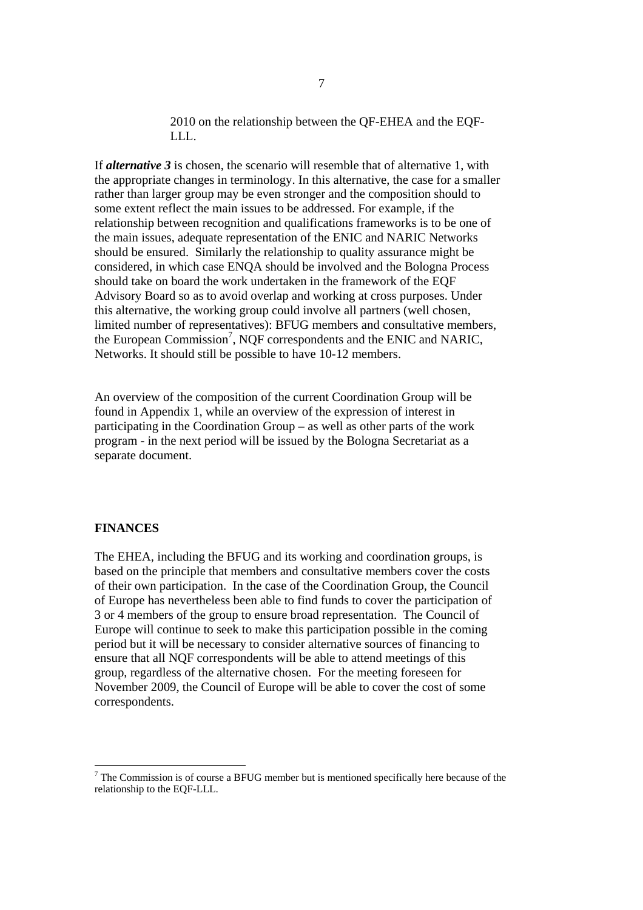2010 on the relationship between the QF-EHEA and the EQF-LLL.

If *alternative 3* is chosen, the scenario will resemble that of alternative 1, with the appropriate changes in terminology. In this alternative, the case for a smaller rather than larger group may be even stronger and the composition should to some extent reflect the main issues to be addressed. For example, if the relationship between recognition and qualifications frameworks is to be one of the main issues, adequate representation of the ENIC and NARIC Networks should be ensured. Similarly the relationship to quality assurance might be considered, in which case ENQA should be involved and the Bologna Process should take on board the work undertaken in the framework of the EQF Advisory Board so as to avoid overlap and working at cross purposes. Under this alternative, the working group could involve all partners (well chosen, limited number of representatives): BFUG members and consultative members, the European Commission<sup>7</sup>, NQF correspondents and the ENIC and NARIC, Networks. It should still be possible to have 10-12 members.

An overview of the composition of the current Coordination Group will be found in Appendix 1, while an overview of the expression of interest in participating in the Coordination Group – as well as other parts of the work program - in the next period will be issued by the Bologna Secretariat as a separate document.

#### **FINANCES**

The EHEA, including the BFUG and its working and coordination groups, is based on the principle that members and consultative members cover the costs of their own participation. In the case of the Coordination Group, the Council of Europe has nevertheless been able to find funds to cover the participation of 3 or 4 members of the group to ensure broad representation. The Council of Europe will continue to seek to make this participation possible in the coming period but it will be necessary to consider alternative sources of financing to ensure that all NQF correspondents will be able to attend meetings of this group, regardless of the alternative chosen. For the meeting foreseen for November 2009, the Council of Europe will be able to cover the cost of some correspondents.

 $<sup>7</sup>$  The Commission is of course a BFUG member but is mentioned specifically here because of the</sup> relationship to the EQF-LLL.